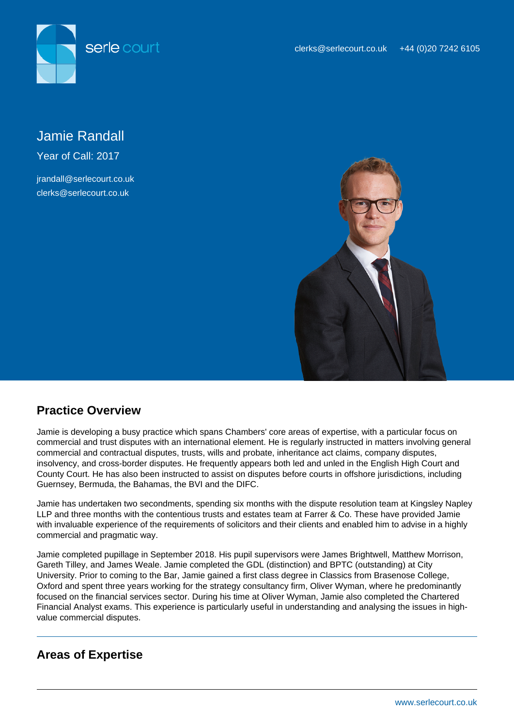



# Jamie Randall

Year of Call: 2017

irandall@serlecourt.co.uk clerks@serlecourt.co.uk



## **Practice Overview**

Jamie is developing a busy practice which spans Chambers' core areas of expertise, with a particular focus on commercial and trust disputes with an international element. He is regularly instructed in matters involving general commercial and contractual disputes, trusts, wills and probate, inheritance act claims, company disputes, insolvency, and cross-border disputes. He frequently appears both led and unled in the English High Court and County Court. He has also been instructed to assist on disputes before courts in offshore jurisdictions, including Guernsey, Bermuda, the Bahamas, the BVI and the DIFC.

Jamie has undertaken two secondments, spending six months with the dispute resolution team at Kingsley Napley LLP and three months with the contentious trusts and estates team at Farrer & Co. These have provided Jamie with invaluable experience of the requirements of solicitors and their clients and enabled him to advise in a highly commercial and pragmatic way.

Jamie completed pupillage in September 2018. His pupil supervisors were James Brightwell, Matthew Morrison, Gareth Tilley, and James Weale. Jamie completed the GDL (distinction) and BPTC (outstanding) at City University. Prior to coming to the Bar, Jamie gained a first class degree in Classics from Brasenose College, Oxford and spent three years working for the strategy consultancy firm, Oliver Wyman, where he predominantly focused on the financial services sector. During his time at Oliver Wyman, Jamie also completed the Chartered Financial Analyst exams. This experience is particularly useful in understanding and analysing the issues in highvalue commercial disputes.

## **Areas of Expertise**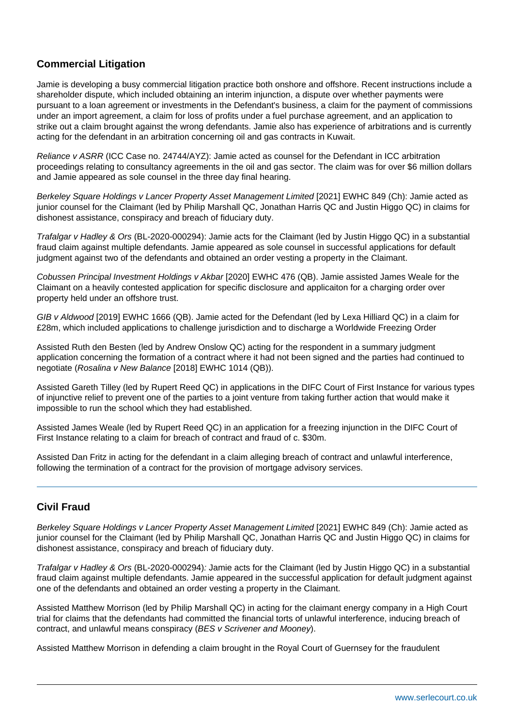### **Commercial Litigation**

Jamie is developing a busy commercial litigation practice both onshore and offshore. Recent instructions include a shareholder dispute, which included obtaining an interim injunction, a dispute over whether payments were pursuant to a loan agreement or investments in the Defendant's business, a claim for the payment of commissions under an import agreement, a claim for loss of profits under a fuel purchase agreement, and an application to strike out a claim brought against the wrong defendants. Jamie also has experience of arbitrations and is currently acting for the defendant in an arbitration concerning oil and gas contracts in Kuwait.

Reliance v ASRR (ICC Case no. 24744/AYZ): Jamie acted as counsel for the Defendant in ICC arbitration proceedings relating to consultancy agreements in the oil and gas sector. The claim was for over \$6 million dollars and Jamie appeared as sole counsel in the three day final hearing.

Berkeley Square Holdings v Lancer Property Asset Management Limited [2021] EWHC 849 (Ch): Jamie acted as junior counsel for the Claimant (led by Philip Marshall QC, Jonathan Harris QC and Justin Higgo QC) in claims for dishonest assistance, conspiracy and breach of fiduciary duty.

Trafalgar v Hadley & Ors (BL-2020-000294): Jamie acts for the Claimant (led by Justin Higgo QC) in a substantial fraud claim against multiple defendants. Jamie appeared as sole counsel in successful applications for default judgment against two of the defendants and obtained an order vesting a property in the Claimant.

Cobussen Principal Investment Holdings v Akbar [2020] EWHC 476 (QB). Jamie assisted James Weale for the Claimant on a heavily contested application for specific disclosure and applicaiton for a charging order over property held under an offshore trust.

GIB v Aldwood [2019] EWHC 1666 (QB). Jamie acted for the Defendant (led by Lexa Hilliard QC) in a claim for £28m, which included applications to challenge jurisdiction and to discharge a Worldwide Freezing Order

Assisted Ruth den Besten (led by Andrew Onslow QC) acting for the respondent in a summary judgment application concerning the formation of a contract where it had not been signed and the parties had continued to negotiate (Rosalina v New Balance [2018] EWHC 1014 (QB)).

Assisted Gareth Tilley (led by Rupert Reed QC) in applications in the DIFC Court of First Instance for various types of injunctive relief to prevent one of the parties to a joint venture from taking further action that would make it impossible to run the school which they had established.

Assisted James Weale (led by Rupert Reed QC) in an application for a freezing injunction in the DIFC Court of First Instance relating to a claim for breach of contract and fraud of c. \$30m.

Assisted Dan Fritz in acting for the defendant in a claim alleging breach of contract and unlawful interference, following the termination of a contract for the provision of mortgage advisory services.

### **Civil Fraud**

Berkeley Square Holdings v Lancer Property Asset Management Limited [2021] EWHC 849 (Ch): Jamie acted as junior counsel for the Claimant (led by Philip Marshall QC, Jonathan Harris QC and Justin Higgo QC) in claims for dishonest assistance, conspiracy and breach of fiduciary duty.

Trafalgar v Hadley & Ors (BL-2020-000294): Jamie acts for the Claimant (led by Justin Higgo QC) in a substantial fraud claim against multiple defendants. Jamie appeared in the successful application for default judgment against one of the defendants and obtained an order vesting a property in the Claimant.

Assisted Matthew Morrison (led by Philip Marshall QC) in acting for the claimant energy company in a High Court trial for claims that the defendants had committed the financial torts of unlawful interference, inducing breach of contract, and unlawful means conspiracy (BES v Scrivener and Mooney).

Assisted Matthew Morrison in defending a claim brought in the Royal Court of Guernsey for the fraudulent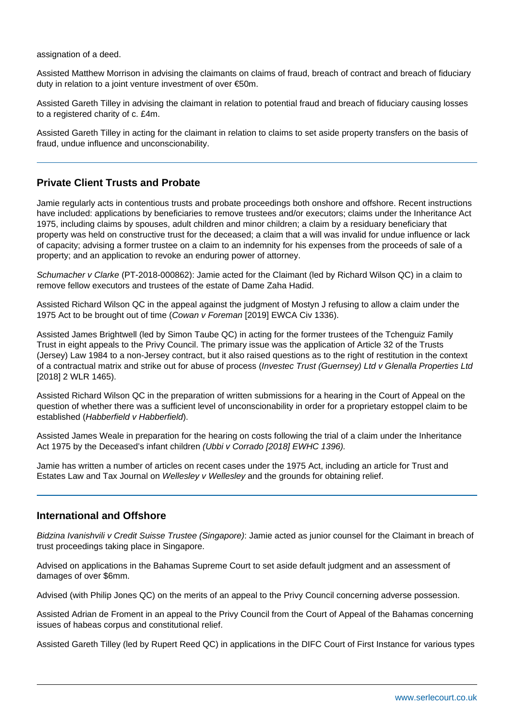assignation of a deed.

Assisted Matthew Morrison in advising the claimants on claims of fraud, breach of contract and breach of fiduciary duty in relation to a joint venture investment of over €50m.

Assisted Gareth Tilley in advising the claimant in relation to potential fraud and breach of fiduciary causing losses to a registered charity of c. £4m.

Assisted Gareth Tilley in acting for the claimant in relation to claims to set aside property transfers on the basis of fraud, undue influence and unconscionability.

#### **Private Client Trusts and Probate**

Jamie regularly acts in contentious trusts and probate proceedings both onshore and offshore. Recent instructions have included: applications by beneficiaries to remove trustees and/or executors; claims under the Inheritance Act 1975, including claims by spouses, adult children and minor children; a claim by a residuary beneficiary that property was held on constructive trust for the deceased; a claim that a will was invalid for undue influence or lack of capacity; advising a former trustee on a claim to an indemnity for his expenses from the proceeds of sale of a property; and an application to revoke an enduring power of attorney.

Schumacher v Clarke (PT-2018-000862): Jamie acted for the Claimant (led by Richard Wilson QC) in a claim to remove fellow executors and trustees of the estate of Dame Zaha Hadid.

Assisted Richard Wilson QC in the appeal against the judgment of Mostyn J refusing to allow a claim under the 1975 Act to be brought out of time (Cowan v Foreman [2019] EWCA Civ 1336).

Assisted James Brightwell (led by Simon Taube QC) in acting for the former trustees of the Tchenguiz Family Trust in eight appeals to the Privy Council. The primary issue was the application of Article 32 of the Trusts (Jersey) Law 1984 to a non-Jersey contract, but it also raised questions as to the right of restitution in the context of a contractual matrix and strike out for abuse of process (Investec Trust (Guernsey) Ltd v Glenalla Properties Ltd [2018] 2 WLR 1465).

Assisted Richard Wilson QC in the preparation of written submissions for a hearing in the Court of Appeal on the question of whether there was a sufficient level of unconscionability in order for a proprietary estoppel claim to be established (Habberfield v Habberfield).

Assisted James Weale in preparation for the hearing on costs following the trial of a claim under the Inheritance Act 1975 by the Deceased's infant children (Ubbi y Corrado [2018] EWHC 1396).

Jamie has written a number of articles on recent cases under the 1975 Act, including an article for Trust and Estates Law and Tax Journal on Wellesley v Wellesley and the grounds for obtaining relief.

#### **International and Offshore**

Bidzina Ivanishvili v Credit Suisse Trustee (Singapore): Jamie acted as junior counsel for the Claimant in breach of trust proceedings taking place in Singapore.

Advised on applications in the Bahamas Supreme Court to set aside default judgment and an assessment of damages of over \$6mm.

Advised (with Philip Jones QC) on the merits of an appeal to the Privy Council concerning adverse possession.

Assisted Adrian de Froment in an appeal to the Privy Council from the Court of Appeal of the Bahamas concerning issues of habeas corpus and constitutional relief.

Assisted Gareth Tilley (led by Rupert Reed QC) in applications in the DIFC Court of First Instance for various types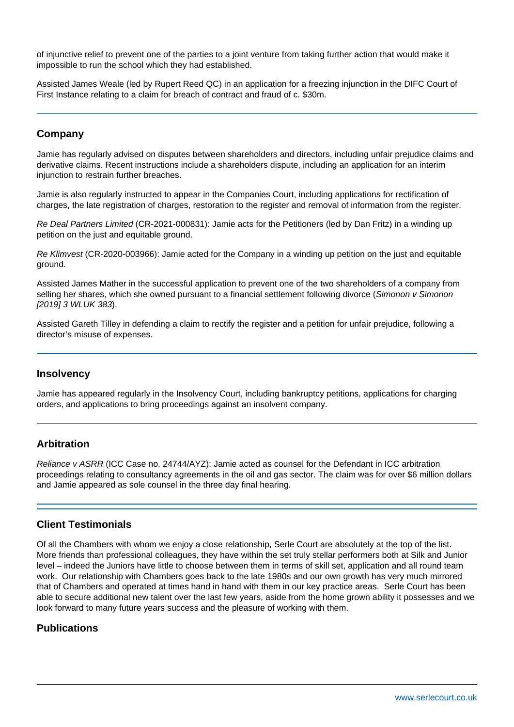of injunctive relief to prevent one of the parties to a joint venture from taking further action that would make it impossible to run the school which they had established.

Assisted James Weale (led by Rupert Reed QC) in an application for a freezing injunction in the DIFC Court of First Instance relating to a claim for breach of contract and fraud of c. \$30m.

#### **Company**

Jamie has regularly advised on disputes between shareholders and directors, including unfair prejudice claims and derivative claims. Recent instructions include a shareholders dispute, including an application for an interim injunction to restrain further breaches.

Jamie is also regularly instructed to appear in the Companies Court, including applications for rectification of charges, the late registration of charges, restoration to the register and removal of information from the register.

Re Deal Partners Limited (CR-2021-000831): Jamie acts for the Petitioners (led by Dan Fritz) in a winding up petition on the just and equitable ground.

Re Klimvest (CR-2020-003966): Jamie acted for the Company in a winding up petition on the just and equitable ground.

Assisted James Mather in the successful application to prevent one of the two shareholders of a company from selling her shares, which she owned pursuant to a financial settlement following divorce (Simonon v Simonon [2019] 3 WLUK 383).

Assisted Gareth Tilley in defending a claim to rectify the register and a petition for unfair prejudice, following a director's misuse of expenses.

#### **Insolvency**

Jamie has appeared regularly in the Insolvency Court, including bankruptcy petitions, applications for charging orders, and applications to bring proceedings against an insolvent company.

#### **Arbitration**

Reliance v ASRR (ICC Case no. 24744/AYZ): Jamie acted as counsel for the Defendant in ICC arbitration proceedings relating to consultancy agreements in the oil and gas sector. The claim was for over \$6 million dollars and Jamie appeared as sole counsel in the three day final hearing.

#### **Client Testimonials**

Of all the Chambers with whom we enjoy a close relationship, Serle Court are absolutely at the top of the list. More friends than professional colleagues, they have within the set truly stellar performers both at Silk and Junior level – indeed the Juniors have little to choose between them in terms of skill set, application and all round team work. Our relationship with Chambers goes back to the late 1980s and our own growth has very much mirrored that of Chambers and operated at times hand in hand with them in our key practice areas. Serle Court has been able to secure additional new talent over the last few years, aside from the home grown ability it possesses and we look forward to many future years success and the pleasure of working with them.

#### **Publications**